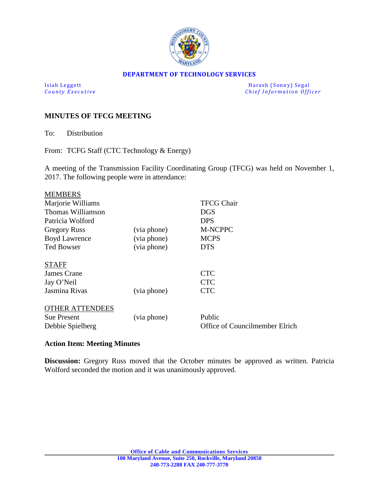

#### **DEPARTMENT OF TECHNOLOGY SERVICES**

Isiah Leggett Harash (Sonny) Segal *Chief Information Officer* 

### **MINUTES OF TFCG MEETING**

To: Distribution

From: TCFG Staff (CTC Technology & Energy)

A meeting of the Transmission Facility Coordinating Group (TFCG) was held on November 1, 2017. The following people were in attendance:

|             | <b>TFCG Chair</b>              |
|-------------|--------------------------------|
|             | <b>DGS</b>                     |
|             | <b>DPS</b>                     |
| (via phone) | M-NCPPC                        |
| (via phone) | <b>MCPS</b>                    |
| (via phone) | <b>DTS</b>                     |
|             |                                |
|             | <b>CTC</b>                     |
|             | <b>CTC</b>                     |
| (via phone) | <b>CTC</b>                     |
|             |                                |
| (via phone) | Public                         |
|             | Office of Councilmember Elrich |
|             |                                |

#### **Action Item: Meeting Minutes**

**Discussion:** Gregory Russ moved that the October minutes be approved as written. Patricia Wolford seconded the motion and it was unanimously approved.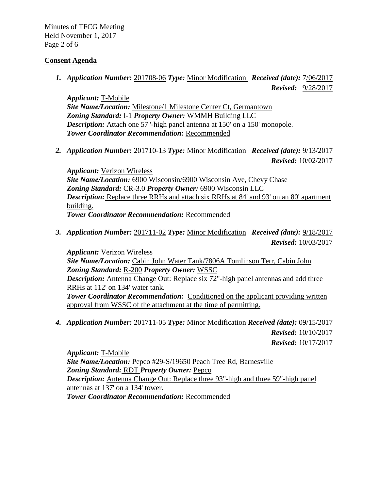Minutes of TFCG Meeting Held November 1, 2017 Page 2 of 6

### **Consent Agenda**

*1. Application Number:* 201708-06 *Type:* Minor Modification *Received (date):* 7/06/2017

 *Revised:* 9/28/2017

*Applicant:* T-Mobile *Site Name/Location:* Milestone/1 Milestone Center Ct, Germantown *Zoning Standard:* I-1 *Property Owner:* WMMH Building LLC *Description:* Attach one 57"-high panel antenna at 150' on a 150' monopole. *Tower Coordinator Recommendation:* Recommended

*2. Application Number:* 201710-13 *Type:* Minor Modification *Received (date):* 9/13/2017 *Revised:* 10/02/2017

*Applicant:* Verizon Wireless *Site Name/Location:* 6900 Wisconsin/6900 Wisconsin Ave, Chevy Chase *Zoning Standard:* CR-3.0 *Property Owner:* 6900 Wisconsin LLC *Description:* Replace three RRHs and attach six RRHs at 84' and 93' on an 80' apartment building. *Tower Coordinator Recommendation:* Recommended

*3. Application Number:* 201711-02 *Type:* Minor Modification *Received (date):* 9/18/2017  *Revised:* 10/03/2017

*Applicant:* Verizon Wireless *Site Name/Location:* Cabin John Water Tank/7806A Tomlinson Terr, Cabin John *Zoning Standard:* R-200 *Property Owner:* WSSC *Description:* Antenna Change Out: Replace six 72"-high panel antennas and add three RRHs at 112' on 134' water tank. **Tower Coordinator Recommendation:** Conditioned on the applicant providing written approval from WSSC of the attachment at the time of permitting.

*4. Application Number:* 201711-05 *Type:* Minor Modification *Received (date):* 09/15/2017 *Revised:* 10/10/2017

*Revised:* 10/17/2017

*Applicant:* T-Mobile *Site Name/Location:* Pepco #29-S/19650 Peach Tree Rd, Barnesville *Zoning Standard:* RDT *Property Owner:* Pepco *Description:* Antenna Change Out: Replace three 93"-high and three 59"-high panel antennas at 137' on a 134' tower. *Tower Coordinator Recommendation:* Recommended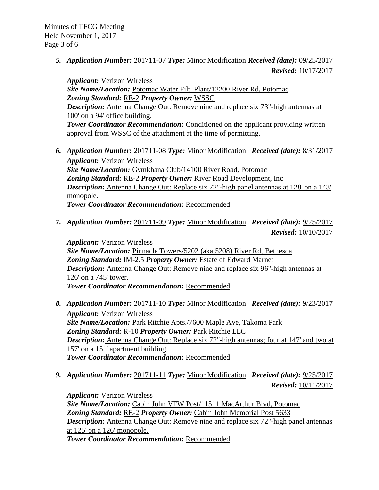Minutes of TFCG Meeting Held November 1, 2017 Page 3 of 6

> *5. Application Number:* 201711-07 *Type:* Minor Modification *Received (date):* 09/25/2017 *Revised:* 10/17/2017

*Applicant:* Verizon Wireless *Site Name/Location:* Potomac Water Filt. Plant/12200 River Rd, Potomac *Zoning Standard:* RE-2 *Property Owner:* WSSC *Description:* Antenna Change Out: Remove nine and replace six 73"-high antennas at 100' on a 94' office building. *Tower Coordinator Recommendation:* Conditioned on the applicant providing written approval from WSSC of the attachment at the time of permitting.

*6. Application Number:* 201711-08 *Type:* Minor Modification *Received (date):* 8/31/2017 *Applicant:* Verizon Wireless *Site Name/Location:* Gymkhana Club/14100 River Road, Potomac *Zoning Standard:* RE-2 *Property Owner:* River Road Development, Inc *Description:* Antenna Change Out: Replace six 72"-high panel antennas at 128' on a 143' monopole.

*Tower Coordinator Recommendation:* Recommended

*7. Application Number:* 201711-09 *Type:* Minor Modification *Received (date):* 9/25/2017  *Revised:* 10/10/2017

*Applicant:* Verizon Wireless *Site Name/Location:* Pinnacle Towers/5202 (aka 5208) River Rd, Bethesda *Zoning Standard:* IM-2.5 *Property Owner:* Estate of Edward Marnet *Description:* Antenna Change Out: Remove nine and replace six 96"-high antennas at 126' on a 745' tower. *Tower Coordinator Recommendation:* Recommended

- *8. Application Number:* 201711-10 *Type:* Minor Modification *Received (date):* 9/23/2017 *Applicant:* Verizon Wireless *Site Name/Location:* Park Ritchie Apts./7600 Maple Ave, Takoma Park *Zoning Standard:* R-10 *Property Owner:* Park Ritchie LLC *Description:* Antenna Change Out: Replace six 72"-high antennas; four at 147' and two at 157' on a 151' apartment building. *Tower Coordinator Recommendation:* Recommended
- *9. Application Number:* 201711-11 *Type:* Minor Modification *Received (date):* 9/25/2017 *Revised:* 10/11/2017

*Applicant:* Verizon Wireless *Site Name/Location:* Cabin John VFW Post/11511 MacArthur Blvd, Potomac *Zoning Standard:* RE-2 *Property Owner:* Cabin John Memorial Post 5633 *Description:* Antenna Change Out: Remove nine and replace six 72"-high panel antennas at 125' on a 126' monopole. *Tower Coordinator Recommendation:* Recommended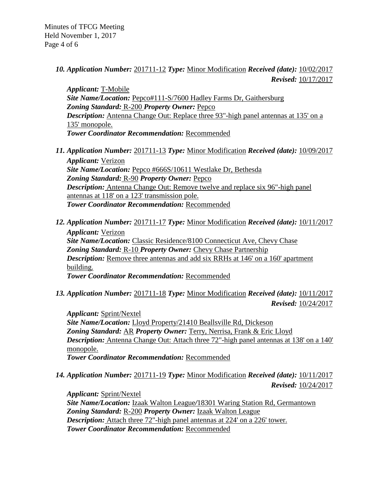Minutes of TFCG Meeting Held November 1, 2017 Page 4 of 6

> *10. Application Number:* 201711-12 *Type:* Minor Modification *Received (date):* 10/02/2017 *Revised:* 10/17/2017

*Applicant:* T-Mobile *Site Name/Location:* Pepco#111-S/7600 Hadley Farms Dr, Gaithersburg *Zoning Standard:* R-200 *Property Owner:* Pepco *Description:* Antenna Change Out: Replace three 93"-high panel antennas at 135' on a 135' monopole. *Tower Coordinator Recommendation:* Recommended

*11. Application Number:* 201711-13 *Type:* Minor Modification *Received (date):* 10/09/2017 *Applicant:* Verizon *Site Name/Location:* Pepco #666S/10611 Westlake Dr, Bethesda *Zoning Standard:* R-90 *Property Owner:* Pepco *Description:* Antenna Change Out: Remove twelve and replace six 96"-high panel antennas at 118' on a 123' transmission pole.

*Tower Coordinator Recommendation:* Recommended

- *12. Application Number:* 201711-17 *Type:* Minor Modification *Received (date):* 10/11/2017 *Applicant:* Verizon *Site Name/Location:* Classic Residence/8100 Connecticut Ave, Chevy Chase *Zoning Standard:* R-10 *Property Owner:* Chevy Chase Partnership *Description:* Remove three antennas and add six RRHs at 146' on a 160' apartment building. *Tower Coordinator Recommendation:* Recommended
- *13. Application Number:* 201711-18 *Type:* Minor Modification *Received (date):* 10/11/2017 *Revised:* 10/24/2017

*Applicant:* Sprint/Nextel *Site Name/Location:* Lloyd Property/21410 Beallsville Rd, Dickeson *Zoning Standard:* AR *Property Owner:* Terry, Nerrisa, Frank & Eric Lloyd *Description:* Antenna Change Out: Attach three 72"-high panel antennas at 138' on a 140' monopole. *Tower Coordinator Recommendation:* Recommended

*14. Application Number:* 201711-19 *Type:* Minor Modification *Received (date):* 10/11/2017  *Revised:* 10/24/2017

*Applicant:* Sprint/Nextel *Site Name/Location:* Izaak Walton League*/*18301 Waring Station Rd, Germantown *Zoning Standard:* R-200 *Property Owner:* Izaak Walton League **Description:** Attach three 72"-high panel antennas at 224' on a 226' tower. *Tower Coordinator Recommendation:* Recommended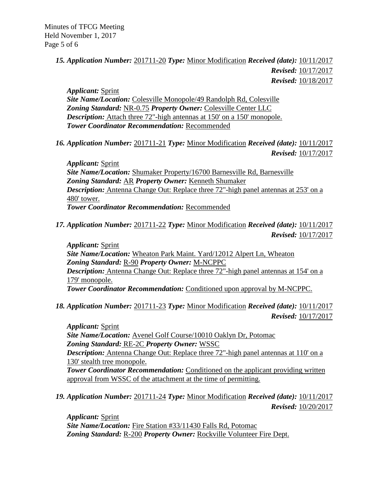# *15. Application Number:* 201711-20 *Type:* Minor Modification *Received (date):* 10/11/2017  *Revised:* 10/17/2017  *Revised:* 10/18/2017

*Applicant:* Sprint *Site Name/Location:* Colesville Monopole/49 Randolph Rd, Colesville *Zoning Standard:* NR-0.75 *Property Owner:* Colesville Center LLC *Description:* Attach three 72"-high antennas at 150' on a 150' monopole. *Tower Coordinator Recommendation:* Recommended

*16. Application Number:* 201711-21 *Type:* Minor Modification *Received (date):* 10/11/2017 *Revised:* 10/17/2017

*Applicant:* Sprint *Site Name/Location:* Shumaker Property/16700 Barnesville Rd, Barnesville *Zoning Standard:* AR *Property Owner:* Kenneth Shumaker *Description:* Antenna Change Out: Replace three 72"-high panel antennas at 253' on a 480' tower. *Tower Coordinator Recommendation:* Recommended

*17. Application Number:* 201711-22 *Type:* Minor Modification *Received (date):* 10/11/2017 *Revised:* 10/17/2017

*Applicant:* Sprint *Site Name/Location:* Wheaton Park Maint. Yard/12012 Alpert Ln, Wheaton *Zoning Standard:* R-90 *Property Owner:* M-NCPPC *Description:* Antenna Change Out: Replace three 72"-high panel antennas at 154' on a 179' monopole. *Tower Coordinator Recommendation:* Conditioned upon approval by M-NCPPC.

*18. Application Number:* 201711-23 *Type:* Minor Modification *Received (date):* 10/11/2017 *Revised:* 10/17/2017

*Applicant:* Sprint *Site Name/Location:* Avenel Golf Course/10010 Oaklyn Dr, Potomac *Zoning Standard:* RE-2C *Property Owner:* WSSC *Description:* Antenna Change Out: Replace three 72"-high panel antennas at 110' on a 130' stealth tree monopole. **Tower Coordinator Recommendation:** Conditioned on the applicant providing written approval from WSSC of the attachment at the time of permitting.

*19. Application Number:* 201711-24 *Type:* Minor Modification *Received (date):* 10/11/2017 *Revised:* 10/20/2017

*Applicant:* Sprint *Site Name/Location:* Fire Station #33/11430 Falls Rd, Potomac *Zoning Standard:* R-200 *Property Owner:* Rockville Volunteer Fire Dept.